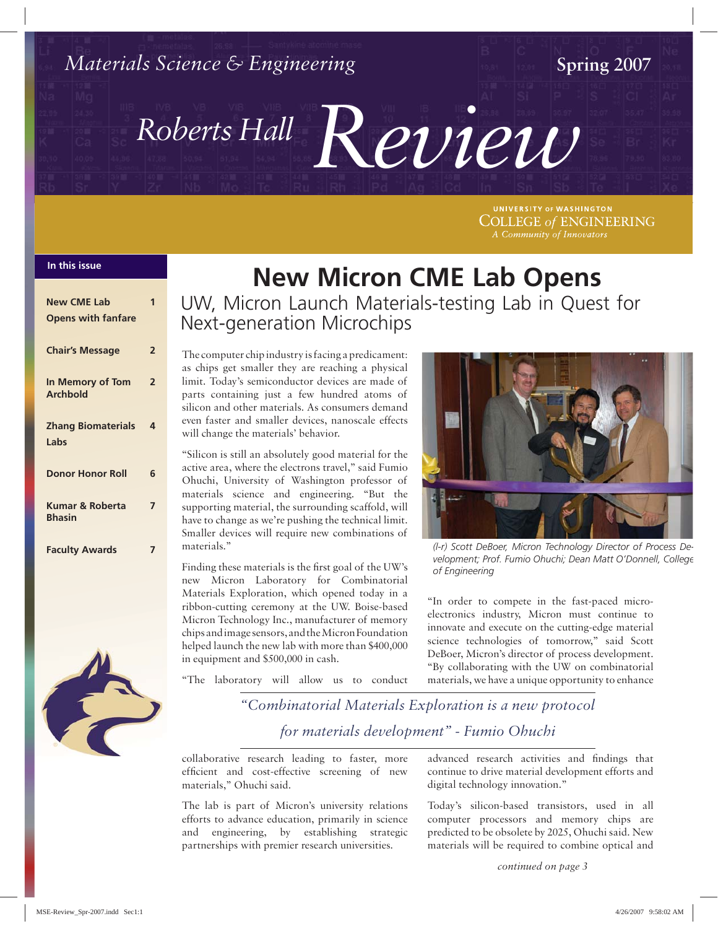

UNIVERSITY OF WASHINGTON **COLLEGE of ENGINEERING** A Community of Innovators

#### **In this issue In this issue**

| <b>New CME Lab</b>                  | 1              |
|-------------------------------------|----------------|
| <b>Opens with fanfare</b>           |                |
| <b>Chair's Message</b>              | $\overline{2}$ |
| In Memory of Tom<br><b>Archbold</b> | $\overline{2}$ |
| <b>Zhang Biomaterials</b>           | 4              |
| Labs                                |                |
| <b>Donor Honor Roll</b>             | 6              |
| Kumar & Roberta<br><b>Bhasin</b>    | 7              |
| <b>Faculty Awards</b>               |                |



# **New Micron CME Lab Opens**

UW, Micron Launch Materials-testing Lab in Quest for Next-generation Microchips

The computer chip industry is facing a predicament: as chips get smaller they are reaching a physical limit. Today's semiconductor devices are made of parts containing just a few hundred atoms of silicon and other materials. As consumers demand even faster and smaller devices, nanoscale effects will change the materials' behavior.

"Silicon is still an absolutely good material for the active area, where the electrons travel," said Fumio Ohuchi, University of Washington professor of materials science and engineering. "But the supporting material, the surrounding scaffold, will have to change as we're pushing the technical limit. Smaller devices will require new combinations of materials."

Finding these materials is the first goal of the UW's new Micron Laboratory for Combinatorial Materials Exploration, which opened today in a ribbon-cutting ceremony at the UW. Boise-based Micron Technology Inc., manufacturer of memory chips and image sensors, and the Micron Foundation helped launch the new lab with more than \$400,000 in equipment and \$500,000 in cash.

"The laboratory will allow us to conduct



*(l-r) Scott DeBoer, Micron Technology Director of Process Development; Prof. Fumio Ohuchi; Dean Matt O'Donnell, College of Engineering*

"In order to compete in the fast-paced microelectronics industry, Micron must continue to innovate and execute on the cutting-edge material science technologies of tomorrow," said Scott DeBoer, Micron's director of process development. "By collaborating with the UW on combinatorial materials, we have a unique opportunity to enhance

*"Combinatorial Materials Exploration is a new protocol for materials development" - Fumio Ohuchi*

collaborative research leading to faster, more efficient and cost-effective screening of new materials," Ohuchi said.

The lab is part of Micron's university relations efforts to advance education, primarily in science and engineering, by establishing strategic partnerships with premier research universities.

advanced research activities and findings that continue to drive material development efforts and digital technology innovation."

Today's silicon-based transistors, used in all computer processors and memory chips are predicted to be obsolete by 2025, Ohuchi said. New materials will be required to combine optical and

*continued on page 3*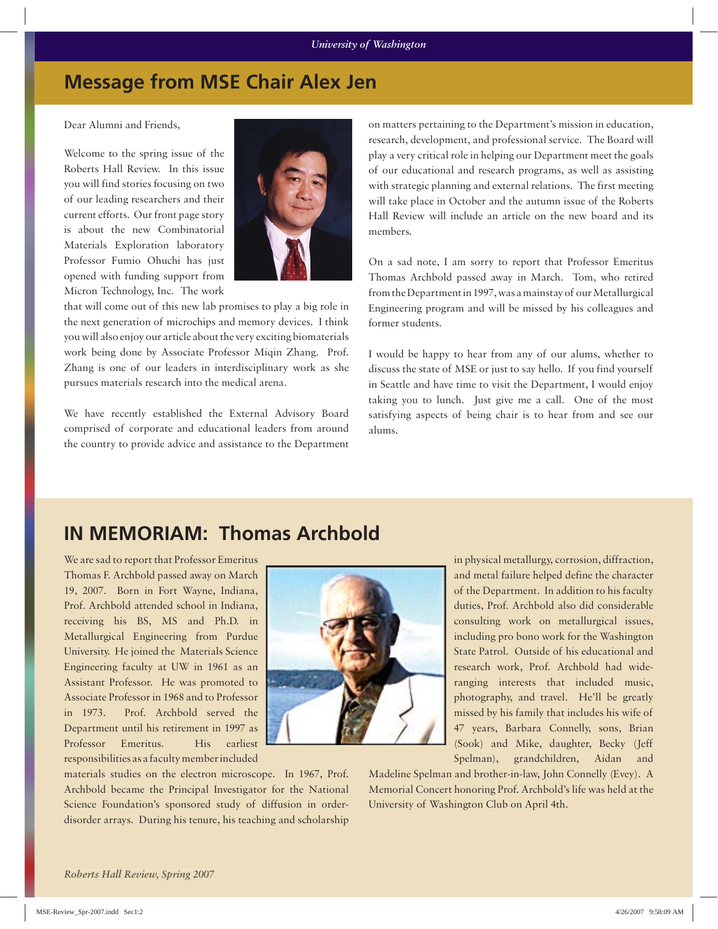### **Message from MSE Chair Alex Jen**

Dear Alumni and Friends,

Welcome to the spring issue of the Roberts Hall Review. In this issue you will find stories focusing on two of our leading researchers and their current efforts. Our front page story is about the new Combinatorial Materials Exploration laboratory Professor Fumio Ohuchi has just opened with funding support from Micron Technology, Inc. The work



that will come out of this new lab promises to play a big role in the next generation of microchips and memory devices. I think you will also enjoy our article about the very exciting biomaterials work being done by Associate Professor Miqin Zhang. Prof. Zhang is one of our leaders in interdisciplinary work as she pursues materials research into the medical arena.

We have recently established the External Advisory Board comprised of corporate and educational leaders from around the country to provide advice and assistance to the Department

on matters pertaining to the Department's mission in education, research, development, and professional service. The Board will play a very critical role in helping our Department meet the goals of our educational and research programs, as well as assisting with strategic planning and external relations. The first meeting will take place in October and the autumn issue of the Roberts Hall Review will include an article on the new board and its members.

On a sad note, I am sorry to report that Professor Emeritus Thomas Archbold passed away in March. Tom, who retired from the Department in 1997, was a mainstay of our Metallurgical Engineering program and will be missed by his colleagues and former students.

I would be happy to hear from any of our alums, whether to discuss the state of MSE or just to say hello. If you find yourself in Seattle and have time to visit the Department, I would enjoy taking you to lunch. Just give me a call. One of the most satisfying aspects of being chair is to hear from and see our alums.

## **IN MEMORIAM: Thomas Archbold**

We are sad to report that Professor Emeritus Thomas F. Archbold passed away on March 19, 2007. Born in Fort Wayne, Indiana, Prof. Archbold attended school in Indiana, receiving his BS, MS and Ph.D. in Metallurgical Engineering from Purdue University. He joined the Materials Science Engineering faculty at UW in 1961 as an Assistant Professor. He was promoted to Associate Professor in 1968 and to Professor in 1973. Prof. Archbold served the Department until his retirement in 1997 as Professor Emeritus. His earliest responsibilities as a faculty member included



in physical metallurgy, corrosion, diffraction, and metal failure helped define the character of the Department. In addition to his faculty duties, Prof. Archbold also did considerable consulting work on metallurgical issues, including pro bono work for the Washington State Patrol. Outside of his educational and research work, Prof. Archbold had wideranging interests that included music, photography, and travel. He'll be greatly missed by his family that includes his wife of 47 years, Barbara Connelly, sons, Brian (Sook) and Mike, daughter, Becky (Jeff Spelman), grandchildren, Aidan and

materials studies on the electron microscope. In 1967, Prof. Archbold became the Principal Investigator for the National Science Foundation's sponsored study of diffusion in orderdisorder arrays. During his tenure, his teaching and scholarship

Madeline Spelman and brother-in-law, John Connelly (Evey). A Memorial Concert honoring Prof. Archbold's life was held at the University of Washington Club on April 4th.

*Roberts Hall Review, Spring 2007*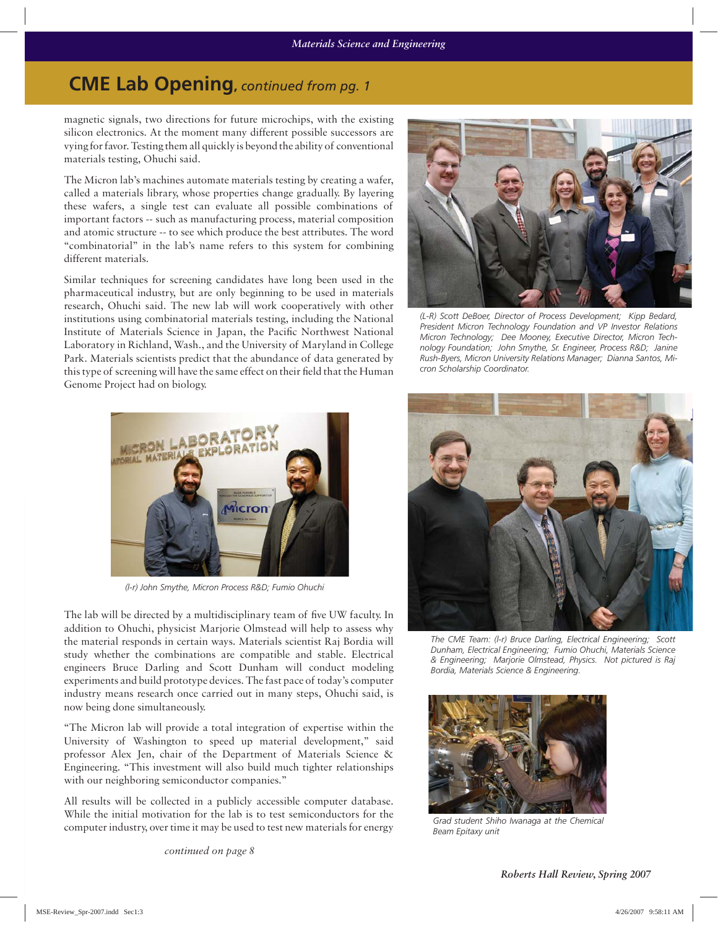## **CME Lab Opening,** *continued from pg. 1*

magnetic signals, two directions for future microchips, with the existing silicon electronics. At the moment many different possible successors are vying for favor. Testing them all quickly is beyond the ability of conventional materials testing, Ohuchi said.

The Micron lab's machines automate materials testing by creating a wafer, called a materials library, whose properties change gradually. By layering these wafers, a single test can evaluate all possible combinations of important factors -- such as manufacturing process, material composition and atomic structure -- to see which produce the best attributes. The word "combinatorial" in the lab's name refers to this system for combining different materials.

Similar techniques for screening candidates have long been used in the pharmaceutical industry, but are only beginning to be used in materials research, Ohuchi said. The new lab will work cooperatively with other institutions using combinatorial materials testing, including the National Institute of Materials Science in Japan, the Pacific Northwest National Laboratory in Richland, Wash., and the University of Maryland in College Park. Materials scientists predict that the abundance of data generated by this type of screening will have the same effect on their field that the Human Genome Project had on biology.



*(L-R) Scott DeBoer, Director of Process Development; Kipp Bedard, President Micron Technology Foundation and VP Investor Relations Micron Technology; Dee Mooney, Executive Director, Micron Technology Foundation; John Smythe, Sr. Engineer, Process R&D; Janine Rush-Byers, Micron University Relations Manager; Dianna Santos, Micron Scholarship Coordinator.*



*(l-r) John Smythe, Micron Process R&D; Fumio Ohuchi*

The lab will be directed by a multidisciplinary team of five UW faculty. In addition to Ohuchi, physicist Marjorie Olmstead will help to assess why the material responds in certain ways. Materials scientist Raj Bordia will study whether the combinations are compatible and stable. Electrical engineers Bruce Darling and Scott Dunham will conduct modeling experiments and build prototype devices. The fast pace of today's computer industry means research once carried out in many steps, Ohuchi said, is now being done simultaneously.

"The Micron lab will provide a total integration of expertise within the University of Washington to speed up material development," said professor Alex Jen, chair of the Department of Materials Science & Engineering. "This investment will also build much tighter relationships with our neighboring semiconductor companies."

All results will be collected in a publicly accessible computer database. While the initial motivation for the lab is to test semiconductors for the computer industry, over time it may be used to test new materials for energy

*continued on page 8*



*The CME Team: (l-r) Bruce Darling, Electrical Engineering; Scott Dunham, Electrical Engineering; Fumio Ohuchi, Materials Science & Engineering; Marjorie Olmstead, Physics. Not pictured is Raj Bordia, Materials Science & Engineering.*



*Grad student Shiho Iwanaga at the Chemical Beam Epitaxy unit*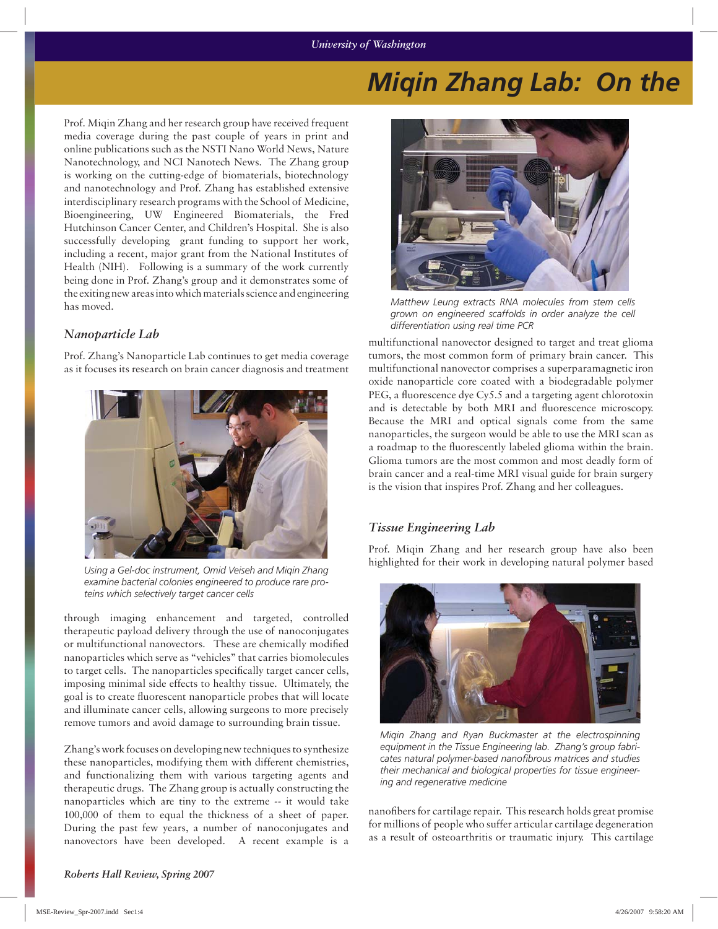## *Miqin Zhang Lab: On the*

Prof. Miqin Zhang and her research group have received frequent media coverage during the past couple of years in print and online publications such as the NSTI Nano World News, Nature Nanotechnology, and NCI Nanotech News. The Zhang group is working on the cutting-edge of biomaterials, biotechnology and nanotechnology and Prof. Zhang has established extensive interdisciplinary research programs with the School of Medicine, Bioengineering, UW Engineered Biomaterials, the Fred Hutchinson Cancer Center, and Children's Hospital. She is also successfully developing grant funding to support her work, including a recent, major grant from the National Institutes of Health (NIH). Following is a summary of the work currently being done in Prof. Zhang's group and it demonstrates some of the exiting new areas into which materials science and engineering has moved.

#### *Nanoparticle Lab*

Prof. Zhang's Nanoparticle Lab continues to get media coverage as it focuses its research on brain cancer diagnosis and treatment



*Using a Gel-doc instrument, Omid Veiseh and Miqin Zhang examine bacterial colonies engineered to produce rare proteins which selectively target cancer cells*

through imaging enhancement and targeted, controlled therapeutic payload delivery through the use of nanoconjugates or multifunctional nanovectors. These are chemically modified nanoparticles which serve as "vehicles" that carries biomolecules to target cells. The nanoparticles specifically target cancer cells, imposing minimal side effects to healthy tissue. Ultimately, the goal is to create fluorescent nanoparticle probes that will locate and illuminate cancer cells, allowing surgeons to more precisely remove tumors and avoid damage to surrounding brain tissue.

Zhang's work focuses on developing new techniques to synthesize these nanoparticles, modifying them with different chemistries, and functionalizing them with various targeting agents and therapeutic drugs. The Zhang group is actually constructing the nanoparticles which are tiny to the extreme -- it would take 100,000 of them to equal the thickness of a sheet of paper. During the past few years, a number of nanoconjugates and nanovectors have been developed. A recent example is a



*Matthew Leung extracts RNA molecules from stem cells grown on engineered scaffolds in order analyze the cell differentiation using real time PCR*

multifunctional nanovector designed to target and treat glioma tumors, the most common form of primary brain cancer. This multifunctional nanovector comprises a superparamagnetic iron oxide nanoparticle core coated with a biodegradable polymer PEG, a fluorescence dye Cy5.5 and a targeting agent chlorotoxin and is detectable by both MRI and fluorescence microscopy. Because the MRI and optical signals come from the same nanoparticles, the surgeon would be able to use the MRI scan as a roadmap to the fluorescently labeled glioma within the brain. Glioma tumors are the most common and most deadly form of brain cancer and a real-time MRI visual guide for brain surgery is the vision that inspires Prof. Zhang and her colleagues.

#### *Tissue Engineering Lab*

Prof. Miqin Zhang and her research group have also been highlighted for their work in developing natural polymer based



*Miqin Zhang and Ryan Buckmaster at the electrospinning equipment in the Tissue Engineering lab. Zhang's group fabri*cates natural polymer-based nanofibrous matrices and studies *their mechanical and biological properties for tissue engineering and regenerative medicine*

nanofibers for cartilage repair. This research holds great promise for millions of people who suffer articular cartilage degeneration as a result of osteoarthritis or traumatic injury. This cartilage

*Roberts Hall Review, Spring 2007*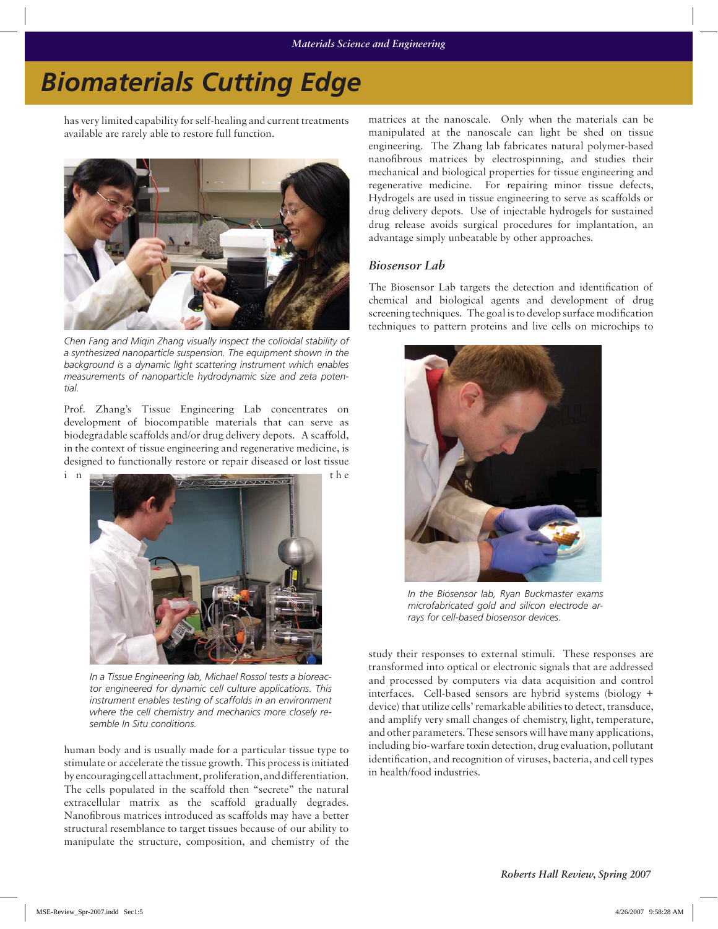# *Biomaterials Cutting Edge*

has very limited capability for self-healing and current treatments available are rarely able to restore full function.



*Chen Fang and Miqin Zhang visually inspect the colloidal stability of a synthesized nanoparticle suspension. The equipment shown in the background is a dynamic light scattering instrument which enables measurements of nanoparticle hydrodynamic size and zeta potential.*

Prof. Zhang's Tissue Engineering Lab concentrates on development of biocompatible materials that can serve as biodegradable scaffolds and/or drug delivery depots. A scaffold, in the context of tissue engineering and regenerative medicine, is designed to functionally restore or repair diseased or lost tissue



*In a Tissue Engineering lab, Michael Rossol tests a bioreactor engineered for dynamic cell culture applications. This instrument enables testing of scaffolds in an environment where the cell chemistry and mechanics more closely resemble In Situ conditions.*

human body and is usually made for a particular tissue type to stimulate or accelerate the tissue growth. This process is initiated by encouraging cell attachment, proliferation, and differentiation. The cells populated in the scaffold then "secrete" the natural extracellular matrix as the scaffold gradually degrades. Nanofibrous matrices introduced as scaffolds may have a better structural resemblance to target tissues because of our ability to manipulate the structure, composition, and chemistry of the

matrices at the nanoscale. Only when the materials can be manipulated at the nanoscale can light be shed on tissue engineering. The Zhang lab fabricates natural polymer-based nanofibrous matrices by electrospinning, and studies their mechanical and biological properties for tissue engineering and regenerative medicine. For repairing minor tissue defects, Hydrogels are used in tissue engineering to serve as scaffolds or drug delivery depots. Use of injectable hydrogels for sustained drug release avoids surgical procedures for implantation, an advantage simply unbeatable by other approaches.

### *Biosensor Lab*

The Biosensor Lab targets the detection and identification of chemical and biological agents and development of drug screening techniques. The goal is to develop surface modification techniques to pattern proteins and live cells on microchips to



*In the Biosensor lab, Ryan Buckmaster exams microfabricated gold and silicon electrode arrays for cell-based biosensor devices.*

study their responses to external stimuli. These responses are transformed into optical or electronic signals that are addressed and processed by computers via data acquisition and control interfaces. Cell-based sensors are hybrid systems (biology + device) that utilize cells' remarkable abilities to detect, transduce, and amplify very small changes of chemistry, light, temperature, and other parameters. These sensors will have many applications, including bio-warfare toxin detection, drug evaluation, pollutant identification, and recognition of viruses, bacteria, and cell types in health/food industries.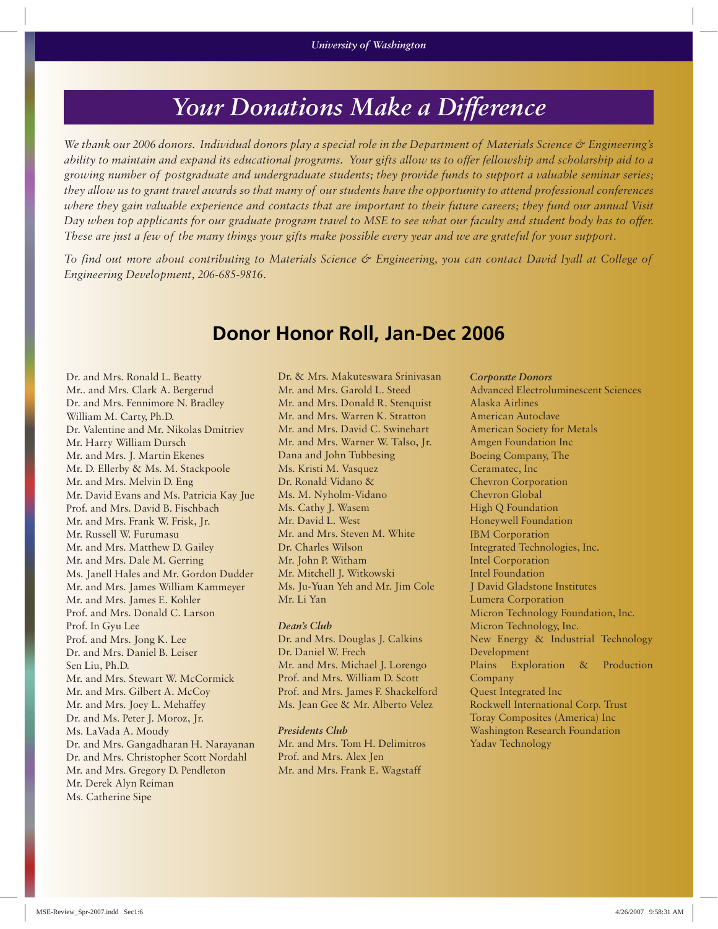# *Your Donations Make a Difference*

*We thank our 2006 donors. Individual donors play a special role in the Department of Materials Science & Engineering's ability to maintain and expand its educational programs. Your gifts allow us to offer fellowship and scholarship aid to a growing number of postgraduate and undergraduate students; they provide funds to support a valuable seminar series; they allow us to grant travel awards so that many of our students have the opportunity to attend professional conferences where they gain valuable experience and contacts that are important to their future careers; they fund our annual Visit Day when top applicants for our graduate program travel to MSE to see what our faculty and student body has to offer. These are just a few of the many things your gifts make possible every year and we are grateful for your support.* 

*To find out more about contributing to Materials Science & Engineering, you can contact David Iyall at College of Engineering Development, 206-685-9816.*

## **Donor Honor Roll, Jan-Dec 2006**

Dr. and Mrs. Ronald L. Beatty Mr.. and Mrs. Clark A. Bergerud Dr. and Mrs. Fennimore N. Bradley William M. Carty, Ph.D. Dr. Valentine and Mr. Nikolas Dmitriev Mr. Harry William Dursch Mr. and Mrs. J. Martin Ekenes Mr. D. Ellerby & Ms. M. Stackpoole Mr. and Mrs. Melvin D. Eng Mr. David Evans and Ms. Patricia Kay Jue Prof. and Mrs. David B. Fischbach Mr. and Mrs. Frank W. Frisk, Jr. Mr. Russell W. Furumasu Mr. and Mrs. Matthew D. Gailey Mr. and Mrs. Dale M. Gerring Ms. Janell Hales and Mr. Gordon Dudder Mr. and Mrs. James William Kammeyer Mr. and Mrs. James E. Kohler Prof. and Mrs. Donald C. Larson Prof. In Gyu Lee Prof. and Mrs. Jong K. Lee Dr. and Mrs. Daniel B. Leiser Sen Liu, Ph.D. Mr. and Mrs. Stewart W. McCormick Mr. and Mrs. Gilbert A. McCoy Mr. and Mrs. Joey L. Mehaffey Dr. and Ms. Peter J. Moroz, Jr. Ms. LaVada A. Moudy Dr. and Mrs. Gangadharan H. Narayanan Dr. and Mrs. Christopher Scott Nordahl Mr. and Mrs. Gregory D. Pendleton Mr. Derek Alyn Reiman Ms. Catherine Sipe

Dr. & Mrs. Makuteswara Srinivasan Mr. and Mrs. Garold L. Steed Mr. and Mrs. Donald R. Stenquist Mr. and Mrs. Warren K. Stratton Mr. and Mrs. David C. Swinehart Mr. and Mrs. Warner W. Talso, Jr. Dana and John Tubbesing Ms. Kristi M. Vasquez Dr. Ronald Vidano & Ms. M. Nyholm-Vidano Ms. Cathy J. Wasem Mr. David L. West Mr. and Mrs. Steven M. White Dr. Charles Wilson Mr. John P. Witham Mr. Mitchell J. Witkowski Ms. Ju-Yuan Yeh and Mr. Jim Cole Mr. Li Yan

#### *Dean's Club*

Dr. and Mrs. Douglas J. Calkins Dr. Daniel W. Frech Mr. and Mrs. Michael J. Lorengo Prof. and Mrs. William D. Scott Prof. and Mrs. James F. Shackelford Ms. Jean Gee & Mr. Alberto Velez

*Presidents Club* Mr. and Mrs. Tom H. Delimitros Prof. and Mrs. Alex Jen Mr. and Mrs. Frank E. Wagstaff

*Corporate Donors* Advanced Electroluminescent Sciences Alaska Airlines American Autoclave American Society for Metals Amgen Foundation Inc Boeing Company, The Ceramatec, Inc Chevron Corporation Chevron Global High Q Foundation Honeywell Foundation IBM Corporation Integrated Technologies, Inc. Intel Corporation Intel Foundation J David Gladstone Institutes Lumera Corporation Micron Technology Foundation, Inc. Micron Technology, Inc. New Energy & Industrial Technology Development Plains Exploration & Production Company Quest Integrated Inc Rockwell International Corp. Trust Toray Composites (America) Inc Washington Research Foundation Yadav Technology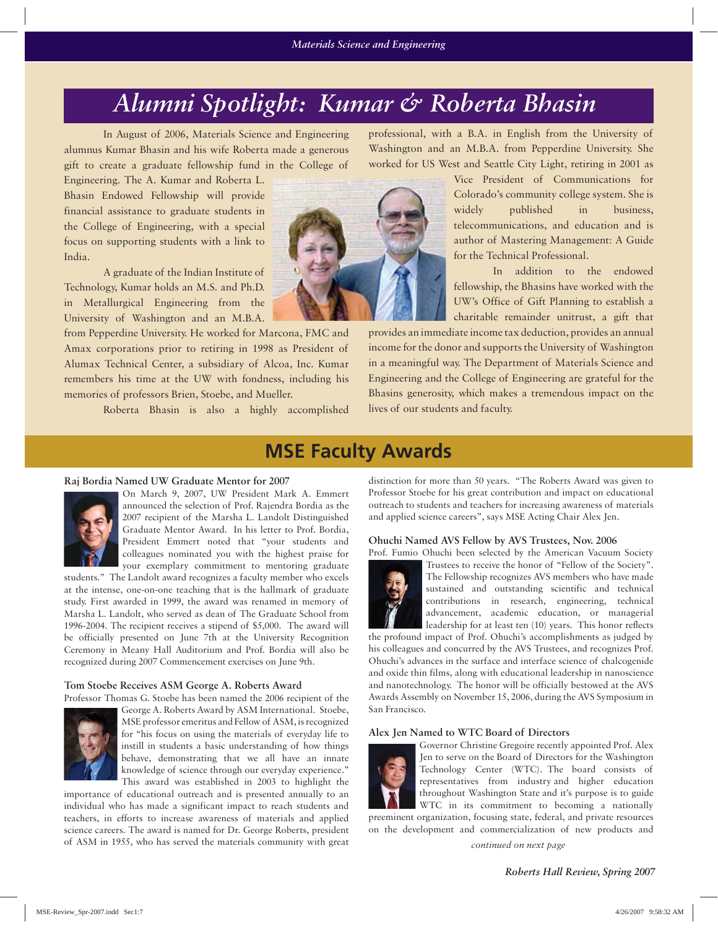# *Alumni Spotlight: Kumar & Roberta Bhasin*

In August of 2006, Materials Science and Engineering alumnus Kumar Bhasin and his wife Roberta made a generous gift to create a graduate fellowship fund in the College of

Engineering. The A. Kumar and Roberta L. Bhasin Endowed Fellowship will provide financial assistance to graduate students in the College of Engineering, with a special focus on supporting students with a link to India.

A graduate of the Indian Institute of Technology, Kumar holds an M.S. and Ph.D. in Metallurgical Engineering from the University of Washington and an M.B.A.

from Pepperdine University. He worked for Marcona, FMC and Amax corporations prior to retiring in 1998 as President of Alumax Technical Center, a subsidiary of Alcoa, Inc. Kumar remembers his time at the UW with fondness, including his memories of professors Brien, Stoebe, and Mueller.

Roberta Bhasin is also a highly accomplished

professional, with a B.A. in English from the University of Washington and an M.B.A. from Pepperdine University. She worked for US West and Seattle City Light, retiring in 2001 as

> Vice President of Communications for Colorado's community college system. She is widely published in business, telecommunications, and education and is author of Mastering Management: A Guide for the Technical Professional.

> In addition to the endowed fellowship, the Bhasins have worked with the UW's Office of Gift Planning to establish a charitable remainder unitrust, a gift that

provides an immediate income tax deduction, provides an annual income for the donor and supports the University of Washington in a meaningful way. The Department of Materials Science and Engineering and the College of Engineering are grateful for the Bhasins generosity, which makes a tremendous impact on the lives of our students and faculty.

## **MSE Faculty Awards**

#### **Raj Bordia Named UW Graduate Mentor for 2007**



On March 9, 2007, UW President Mark A. Emmert announced the selection of Prof. Rajendra Bordia as the 2007 recipient of the Marsha L. Landolt Distinguished Graduate Mentor Award. In his letter to Prof. Bordia, President Emmert noted that "your students and colleagues nominated you with the highest praise for your exemplary commitment to mentoring graduate

students." The Landolt award recognizes a faculty member who excels at the intense, one-on-one teaching that is the hallmark of graduate study. First awarded in 1999, the award was renamed in memory of Marsha L. Landolt, who served as dean of The Graduate School from 1996-2004. The recipient receives a stipend of \$5,000. The award will be officially presented on June 7th at the University Recognition Ceremony in Meany Hall Auditorium and Prof. Bordia will also be recognized during 2007 Commencement exercises on June 9th.

#### **Tom Stoebe Receives ASM George A. Roberts Award**



George A. Roberts Award by ASM International. Stoebe, MSE professor emeritus and Fellow of ASM, is recognized for "his focus on using the materials of everyday life to instill in students a basic understanding of how things behave, demonstrating that we all have an innate knowledge of science through our everyday experience." This award was established in 2003 to highlight the

importance of educational outreach and is presented annually to an individual who has made a significant impact to reach students and teachers, in efforts to increase awareness of materials and applied science careers. The award is named for Dr. George Roberts, president of ASM in 1955, who has served the materials community with great

distinction for more than 50 years. "The Roberts Award was given to Professor Stoebe for his great contribution and impact on educational outreach to students and teachers for increasing awareness of materials and applied science careers", says MSE Acting Chair Alex Jen.

#### **Ohuchi Named AVS Fellow by AVS Trustees, Nov. 2006**



Prof. Fumio Ohuchi been selected by the American Vacuum Society Trustees to receive the honor of "Fellow of the Society". The Fellowship recognizes AVS members who have made sustained and outstanding scientific and technical contributions in research, engineering, technical advancement, academic education, or managerial

leadership for at least ten (10) years. This honor reflects the profound impact of Prof. Ohuchi's accomplishments as judged by his colleagues and concurred by the AVS Trustees, and recognizes Prof. Ohuchi's advances in the surface and interface science of chalcogenide and oxide thin films, along with educational leadership in nanoscience and nanotechnology. The honor will be officially bestowed at the AVS Awards Assembly on November 15, 2006, during the AVS Symposium in San Francisco.

#### **Alex Jen Named to WTC Board of Directors**



Governor Christine Gregoire recently appointed Prof. Alex Jen to serve on the Board of Directors for the Washington Technology Center (WTC). The board consists of representatives from industry and higher education throughout Washington State and it's purpose is to guide WTC in its commitment to becoming a nationally

preeminent organization, focusing state, federal, and private resources on the development and commercialization of new products and

*continued on next page*

*Roberts Hall Review, Spring 2007*